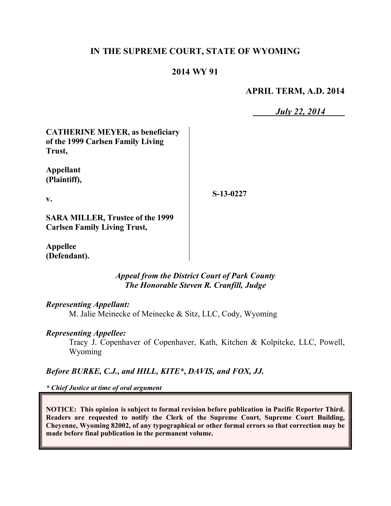# **IN THE SUPREME COURT, STATE OF WYOMING**

## **2014 WY 91**

### **APRIL TERM, A.D. 2014**

*July 22, 2014*

**CATHERINE MEYER, as beneficiary of the 1999 Carlsen Family Living Trust,**

**Appellant (Plaintiff),**

**S-13-0227**

**v.**

**SARA MILLER, Trustee of the 1999 Carlsen Family Living Trust,**

**Appellee (Defendant).**

> *Appeal from the District Court of Park County The Honorable Steven R. Cranfill, Judge*

#### *Representing Appellant:*

M. Jalie Meinecke of Meinecke & Sitz, LLC, Cody, Wyoming

#### *Representing Appellee:*

Tracy J. Copenhaver of Copenhaver, Kath, Kitchen & Kolpitcke, LLC, Powell, Wyoming

*Before BURKE, C.J., and HILL, KITE\*, DAVIS, and FOX, JJ.*

*\* Chief Justice at time of oral argument*

**NOTICE: This opinion is subject to formal revision before publication in Pacific Reporter Third. Readers are requested to notify the Clerk of the Supreme Court, Supreme Court Building, Cheyenne, Wyoming 82002, of any typographical or other formal errors so that correction may be made before final publication in the permanent volume.**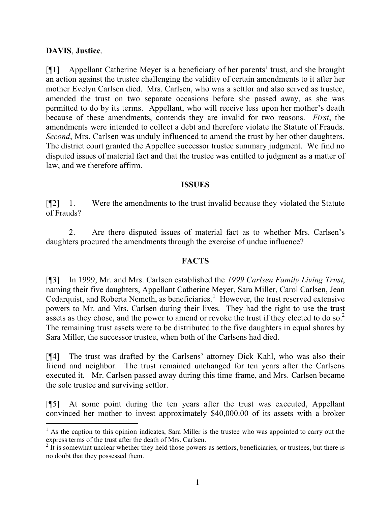## **DAVIS**, **Justice**.

 $\overline{a}$ 

[¶1] Appellant Catherine Meyer is a beneficiary of her parents' trust, and she brought an action against the trustee challenging the validity of certain amendments to it after her mother Evelyn Carlsen died. Mrs. Carlsen, who was a settlor and also served as trustee, amended the trust on two separate occasions before she passed away, as she was permitted to do by its terms. Appellant, who will receive less upon her mother's death because of these amendments, contends they are invalid for two reasons. *First*, the amendments were intended to collect a debt and therefore violate the Statute of Frauds. *Second*, Mrs. Carlsen was unduly influenced to amend the trust by her other daughters. The district court granted the Appellee successor trustee summary judgment. We find no disputed issues of material fact and that the trustee was entitled to judgment as a matter of law, and we therefore affirm.

#### **ISSUES**

[¶2] 1. Were the amendments to the trust invalid because they violated the Statute of Frauds?

2. Are there disputed issues of material fact as to whether Mrs. Carlsen's daughters procured the amendments through the exercise of undue influence?

## **FACTS**

[¶3] In 1999, Mr. and Mrs. Carlsen established the *1999 Carlsen Family Living Trust*, naming their five daughters, Appellant Catherine Meyer, Sara Miller, Carol Carlsen, Jean Cedarquist, and Roberta Nemeth, as beneficiaries.<sup>1</sup> However, the trust reserved extensive powers to Mr. and Mrs. Carlsen during their lives. They had the right to use the trust assets as they chose, and the power to amend or revoke the trust if they elected to do so.<sup>2</sup> The remaining trust assets were to be distributed to the five daughters in equal shares by Sara Miller, the successor trustee, when both of the Carlsens had died.

[¶4] The trust was drafted by the Carlsens' attorney Dick Kahl, who was also their friend and neighbor. The trust remained unchanged for ten years after the Carlsens executed it. Mr. Carlsen passed away during this time frame, and Mrs. Carlsen became the sole trustee and surviving settlor.

[¶5] At some point during the ten years after the trust was executed, Appellant convinced her mother to invest approximately \$40,000.00 of its assets with a broker

 $<sup>1</sup>$  As the caption to this opinion indicates, Sara Miller is the trustee who was appointed to carry out the</sup> express terms of the trust after the death of Mrs. Carlsen.

 $2 \text{ It is somewhat unclear whether they held those powers as settings, beneficiaries, or trustees, but there is }$ no doubt that they possessed them.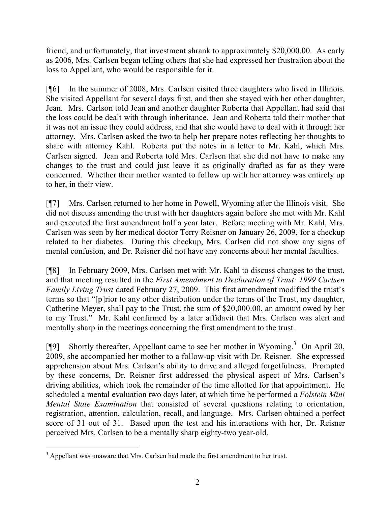friend, and unfortunately, that investment shrank to approximately \$20,000.00. As early as 2006, Mrs. Carlsen began telling others that she had expressed her frustration about the loss to Appellant, who would be responsible for it.

[¶6] In the summer of 2008, Mrs. Carlsen visited three daughters who lived in Illinois. She visited Appellant for several days first, and then she stayed with her other daughter, Jean. Mrs. Carlson told Jean and another daughter Roberta that Appellant had said that the loss could be dealt with through inheritance. Jean and Roberta told their mother that it was not an issue they could address, and that she would have to deal with it through her attorney. Mrs. Carlsen asked the two to help her prepare notes reflecting her thoughts to share with attorney Kahl. Roberta put the notes in a letter to Mr. Kahl, which Mrs. Carlsen signed. Jean and Roberta told Mrs. Carlsen that she did not have to make any changes to the trust and could just leave it as originally drafted as far as they were concerned. Whether their mother wanted to follow up with her attorney was entirely up to her, in their view.

[¶7] Mrs. Carlsen returned to her home in Powell, Wyoming after the Illinois visit. She did not discuss amending the trust with her daughters again before she met with Mr. Kahl and executed the first amendment half a year later. Before meeting with Mr. Kahl, Mrs. Carlsen was seen by her medical doctor Terry Reisner on January 26, 2009, for a checkup related to her diabetes. During this checkup, Mrs. Carlsen did not show any signs of mental confusion, and Dr. Reisner did not have any concerns about her mental faculties.

[¶8] In February 2009, Mrs. Carlsen met with Mr. Kahl to discuss changes to the trust, and that meeting resulted in the *First Amendment to Declaration of Trust: 1999 Carlsen Family Living Trust* dated February 27, 2009. This first amendment modified the trust's terms so that "[p]rior to any other distribution under the terms of the Trust, my daughter, Catherine Meyer, shall pay to the Trust, the sum of \$20,000.00, an amount owed by her to my Trust." Mr. Kahl confirmed by a later affidavit that Mrs. Carlsen was alert and mentally sharp in the meetings concerning the first amendment to the trust.

[¶9] Shortly thereafter, Appellant came to see her mother in Wyoming.<sup>3</sup> On April 20, 2009, she accompanied her mother to a follow-up visit with Dr. Reisner. She expressed apprehension about Mrs. Carlsen's ability to drive and alleged forgetfulness. Prompted by these concerns, Dr. Reisner first addressed the physical aspect of Mrs. Carlsen's driving abilities, which took the remainder of the time allotted for that appointment. He scheduled a mental evaluation two days later, at which time he performed a *Folstein Mini Mental State Examination* that consisted of several questions relating to orientation, registration, attention, calculation, recall, and language. Mrs. Carlsen obtained a perfect score of 31 out of 31. Based upon the test and his interactions with her, Dr. Reisner perceived Mrs. Carlsen to be a mentally sharp eighty-two year-old.

 $\overline{a}$ <sup>3</sup> Appellant was unaware that Mrs. Carlsen had made the first amendment to her trust.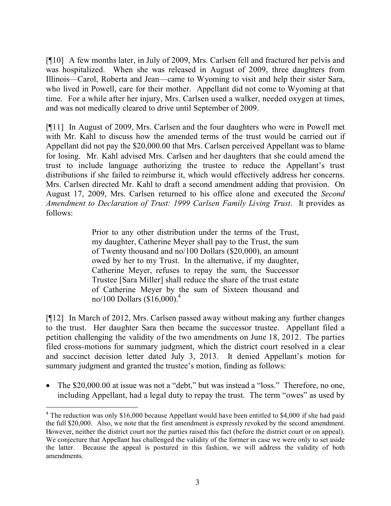[¶10] A few months later, in July of 2009, Mrs. Carlsen fell and fractured her pelvis and was hospitalized. When she was released in August of 2009, three daughters from Illinois—Carol, Roberta and Jean—came to Wyoming to visit and help their sister Sara, who lived in Powell, care for their mother. Appellant did not come to Wyoming at that time. For a while after her injury, Mrs. Carlsen used a walker, needed oxygen at times, and was not medically cleared to drive until September of 2009.

[¶11] In August of 2009, Mrs. Carlsen and the four daughters who were in Powell met with Mr. Kahl to discuss how the amended terms of the trust would be carried out if Appellant did not pay the \$20,000.00 that Mrs. Carlsen perceived Appellant was to blame for losing. Mr. Kahl advised Mrs. Carlsen and her daughters that she could amend the trust to include language authorizing the trustee to reduce the Appellant's trust distributions if she failed to reimburse it, which would effectively address her concerns. Mrs. Carlsen directed Mr. Kahl to draft a second amendment adding that provision. On August 17, 2009, Mrs. Carlsen returned to his office alone and executed the *Second Amendment to Declaration of Trust: 1999 Carlsen Family Living Trust*. It provides as follows:

> Prior to any other distribution under the terms of the Trust, my daughter, Catherine Meyer shall pay to the Trust, the sum of Twenty thousand and no/100 Dollars (\$20,000), an amount owed by her to my Trust. In the alternative, if my daughter, Catherine Meyer, refuses to repay the sum, the Successor Trustee [Sara Miller] shall reduce the share of the trust estate of Catherine Meyer by the sum of Sixteen thousand and no/100 Dollars  $($16,000)$ .<sup>4</sup>

[¶12] In March of 2012, Mrs. Carlsen passed away without making any further changes to the trust. Her daughter Sara then became the successor trustee. Appellant filed a petition challenging the validity of the two amendments on June 18, 2012. The parties filed cross-motions for summary judgment, which the district court resolved in a clear and succinct decision letter dated July 3, 2013. It denied Appellant's motion for summary judgment and granted the trustee's motion, finding as follows:

• The \$20,000.00 at issue was not a "debt," but was instead a "loss." Therefore, no one, including Appellant, had a legal duty to repay the trust. The term "owes" as used by

 $\overline{a}$ <sup>4</sup> The reduction was only \$16,000 because Appellant would have been entitled to \$4,000 if she had paid the full \$20,000. Also, we note that the first amendment is expressly revoked by the second amendment. However, neither the district court nor the parties raised this fact (before the district court or on appeal). We conjecture that Appellant has challenged the validity of the former in case we were only to set aside the latter. Because the appeal is postured in this fashion, we will address the validity of both amendments.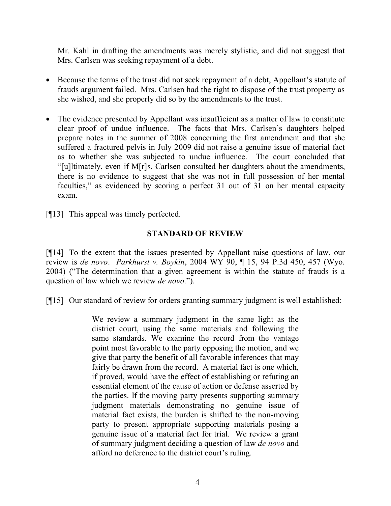Mr. Kahl in drafting the amendments was merely stylistic, and did not suggest that Mrs. Carlsen was seeking repayment of a debt.

- Because the terms of the trust did not seek repayment of a debt, Appellant's statute of frauds argument failed. Mrs. Carlsen had the right to dispose of the trust property as she wished, and she properly did so by the amendments to the trust.
- The evidence presented by Appellant was insufficient as a matter of law to constitute clear proof of undue influence. The facts that Mrs. Carlsen's daughters helped prepare notes in the summer of 2008 concerning the first amendment and that she suffered a fractured pelvis in July 2009 did not raise a genuine issue of material fact as to whether she was subjected to undue influence. The court concluded that "[u]ltimately, even if M[r]s. Carlsen consulted her daughters about the amendments, there is no evidence to suggest that she was not in full possession of her mental faculties," as evidenced by scoring a perfect 31 out of 31 on her mental capacity exam.
- [¶13] This appeal was timely perfected.

# **STANDARD OF REVIEW**

[¶14] To the extent that the issues presented by Appellant raise questions of law, our review is *de novo*. *Parkhurst v. Boykin*, 2004 WY 90, ¶ 15, 94 P.3d 450, 457 (Wyo. 2004) ("The determination that a given agreement is within the statute of frauds is a question of law which we review *de novo*.").

[¶15] Our standard of review for orders granting summary judgment is well established:

We review a summary judgment in the same light as the district court, using the same materials and following the same standards. We examine the record from the vantage point most favorable to the party opposing the motion, and we give that party the benefit of all favorable inferences that may fairly be drawn from the record. A material fact is one which, if proved, would have the effect of establishing or refuting an essential element of the cause of action or defense asserted by the parties. If the moving party presents supporting summary judgment materials demonstrating no genuine issue of material fact exists, the burden is shifted to the non-moving party to present appropriate supporting materials posing a genuine issue of a material fact for trial. We review a grant of summary judgment deciding a question of law *de novo* and afford no deference to the district court's ruling.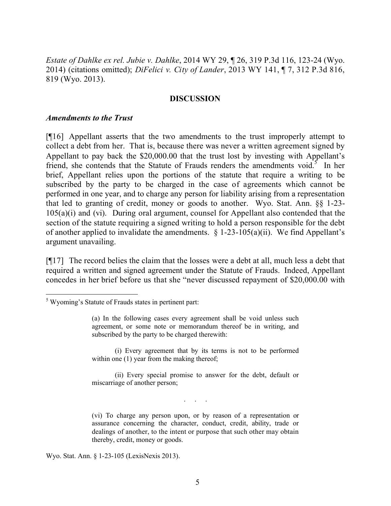*Estate of Dahlke ex rel. Jubie v. Dahlke*, 2014 WY 29, ¶ 26, 319 P.3d 116, 123-24 (Wyo. 2014) (citations omitted); *DiFelici v. City of Lander*, 2013 WY 141, ¶ 7, 312 P.3d 816, 819 (Wyo. 2013).

#### **DISCUSSION**

#### *Amendments to the Trust*

[¶16] Appellant asserts that the two amendments to the trust improperly attempt to collect a debt from her. That is, because there was never a written agreement signed by Appellant to pay back the \$20,000.00 that the trust lost by investing with Appellant's friend, she contends that the Statute of Frauds renders the amendments void.<sup>5</sup> In her brief, Appellant relies upon the portions of the statute that require a writing to be subscribed by the party to be charged in the case of agreements which cannot be performed in one year, and to charge any person for liability arising from a representation that led to granting of credit, money or goods to another. Wyo. Stat. Ann. §§ 1-23- 105(a)(i) and (vi). During oral argument, counsel for Appellant also contended that the section of the statute requiring a signed writing to hold a person responsible for the debt of another applied to invalidate the amendments.  $\S$  1-23-105(a)(ii). We find Appellant's argument unavailing.

[¶17] The record belies the claim that the losses were a debt at all, much less a debt that required a written and signed agreement under the Statute of Frauds. Indeed, Appellant concedes in her brief before us that she "never discussed repayment of \$20,000.00 with

(i) Every agreement that by its terms is not to be performed within one (1) year from the making thereof;

(ii) Every special promise to answer for the debt, default or miscarriage of another person;

. . . . .<br>. . . . . .

(vi) To charge any person upon, or by reason of a representation or assurance concerning the character, conduct, credit, ability, trade or dealings of another, to the intent or purpose that such other may obtain thereby, credit, money or goods.

Wyo. Stat. Ann. § 1-23-105 (LexisNexis 2013).

<sup>&</sup>lt;sup>5</sup> Wyoming's Statute of Frauds states in pertinent part:

<sup>(</sup>a) In the following cases every agreement shall be void unless such agreement, or some note or memorandum thereof be in writing, and subscribed by the party to be charged therewith: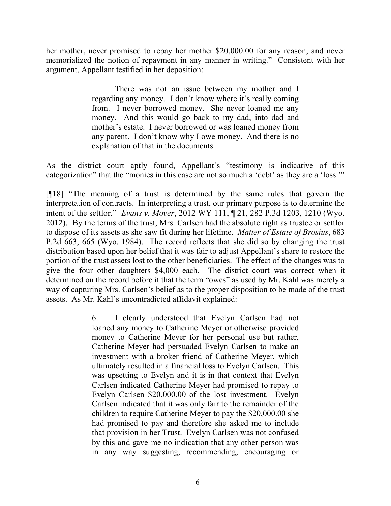her mother, never promised to repay her mother \$20,000.00 for any reason, and never memorialized the notion of repayment in any manner in writing." Consistent with her argument, Appellant testified in her deposition:

> There was not an issue between my mother and I regarding any money. I don't know where it's really coming from. I never borrowed money. She never loaned me any money. And this would go back to my dad, into dad and mother's estate. I never borrowed or was loaned money from any parent. I don't know why I owe money. And there is no explanation of that in the documents.

As the district court aptly found, Appellant's "testimony is indicative of this categorization" that the "monies in this case are not so much a 'debt' as they are a 'loss.'"

[¶18] "The meaning of a trust is determined by the same rules that govern the interpretation of contracts. In interpreting a trust, our primary purpose is to determine the intent of the settlor." *Evans v. Moyer*, 2012 WY 111, ¶ 21, 282 P.3d 1203, 1210 (Wyo. 2012). By the terms of the trust, Mrs. Carlsen had the absolute right as trustee or settlor to dispose of its assets as she saw fit during her lifetime. *Matter of Estate of Brosius*, 683 P.2d 663, 665 (Wyo. 1984). The record reflects that she did so by changing the trust distribution based upon her belief that it was fair to adjust Appellant's share to restore the portion of the trust assets lost to the other beneficiaries. The effect of the changes was to give the four other daughters \$4,000 each. The district court was correct when it determined on the record before it that the term "owes" as used by Mr. Kahl was merely a way of capturing Mrs. Carlsen's belief as to the proper disposition to be made of the trust assets. As Mr. Kahl's uncontradicted affidavit explained:

> 6. I clearly understood that Evelyn Carlsen had not loaned any money to Catherine Meyer or otherwise provided money to Catherine Meyer for her personal use but rather, Catherine Meyer had persuaded Evelyn Carlsen to make an investment with a broker friend of Catherine Meyer, which ultimately resulted in a financial loss to Evelyn Carlsen. This was upsetting to Evelyn and it is in that context that Evelyn Carlsen indicated Catherine Meyer had promised to repay to Evelyn Carlsen \$20,000.00 of the lost investment. Evelyn Carlsen indicated that it was only fair to the remainder of the children to require Catherine Meyer to pay the \$20,000.00 she had promised to pay and therefore she asked me to include that provision in her Trust. Evelyn Carlsen was not confused by this and gave me no indication that any other person was in any way suggesting, recommending, encouraging or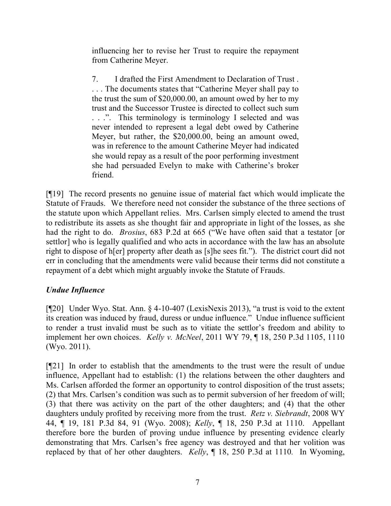influencing her to revise her Trust to require the repayment from Catherine Meyer.

7. I drafted the First Amendment to Declaration of Trust . . . . The documents states that "Catherine Meyer shall pay to the trust the sum of \$20,000.00, an amount owed by her to my trust and the Successor Trustee is directed to collect such sum ...". This terminology is terminology I selected and was never intended to represent a legal debt owed by Catherine Meyer, but rather, the \$20,000.00, being an amount owed, was in reference to the amount Catherine Meyer had indicated she would repay as a result of the poor performing investment she had persuaded Evelyn to make with Catherine's broker friend.

[¶19] The record presents no genuine issue of material fact which would implicate the Statute of Frauds. We therefore need not consider the substance of the three sections of the statute upon which Appellant relies. Mrs. Carlsen simply elected to amend the trust to redistribute its assets as she thought fair and appropriate in light of the losses, as she had the right to do. *Brosius*, 683 P.2d at 665 ("We have often said that a testator [or settlor] who is legally qualified and who acts in accordance with the law has an absolute right to dispose of h[er] property after death as [s]he sees fit."). The district court did not err in concluding that the amendments were valid because their terms did not constitute a repayment of a debt which might arguably invoke the Statute of Frauds.

# *Undue Influence*

[¶20] Under Wyo. Stat. Ann. § 4-10-407 (LexisNexis 2013), "a trust is void to the extent its creation was induced by fraud, duress or undue influence." Undue influence sufficient to render a trust invalid must be such as to vitiate the settlor's freedom and ability to implement her own choices. *Kelly v. McNeel*, 2011 WY 79, ¶ 18, 250 P.3d 1105, 1110 (Wyo. 2011).

[¶21] In order to establish that the amendments to the trust were the result of undue influence, Appellant had to establish: (1) the relations between the other daughters and Ms. Carlsen afforded the former an opportunity to control disposition of the trust assets; (2) that Mrs. Carlsen's condition was such as to permit subversion of her freedom of will; (3) that there was activity on the part of the other daughters; and (4) that the other daughters unduly profited by receiving more from the trust. *Retz v. Siebrandt*, 2008 WY 44, ¶ 19, 181 P.3d 84, 91 (Wyo. 2008); *Kelly*, ¶ 18, 250 P.3d at 1110. Appellant therefore bore the burden of proving undue influence by presenting evidence clearly demonstrating that Mrs. Carlsen's free agency was destroyed and that her volition was replaced by that of her other daughters. *Kelly*, ¶ 18, 250 P.3d at 1110*.* In Wyoming,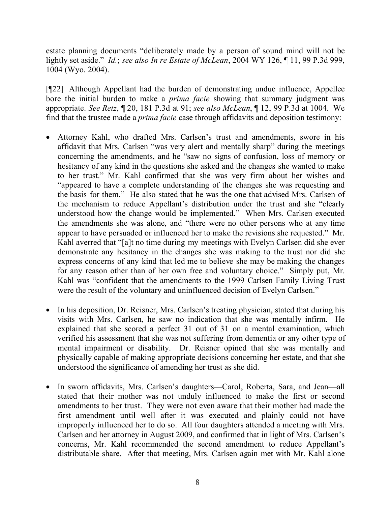estate planning documents "deliberately made by a person of sound mind will not be lightly set aside." *Id.*; *see also In re Estate of McLean*, 2004 WY 126, ¶ 11, 99 P.3d 999, 1004 (Wyo. 2004).

[¶22] Although Appellant had the burden of demonstrating undue influence, Appellee bore the initial burden to make a *prima facie* showing that summary judgment was appropriate. *See Retz*, ¶ 20, 181 P.3d at 91; *see also McLean*, ¶ 12, 99 P.3d at 1004. We find that the trustee made a *prima facie* case through affidavits and deposition testimony:

- Attorney Kahl, who drafted Mrs. Carlsen's trust and amendments, swore in his affidavit that Mrs. Carlsen "was very alert and mentally sharp" during the meetings concerning the amendments, and he "saw no signs of confusion, loss of memory or hesitancy of any kind in the questions she asked and the changes she wanted to make to her trust." Mr. Kahl confirmed that she was very firm about her wishes and "appeared to have a complete understanding of the changes she was requesting and the basis for them." He also stated that he was the one that advised Mrs. Carlsen of the mechanism to reduce Appellant's distribution under the trust and she "clearly understood how the change would be implemented." When Mrs. Carlsen executed the amendments she was alone, and "there were no other persons who at any time appear to have persuaded or influenced her to make the revisions she requested." Mr. Kahl averred that "[a]t no time during my meetings with Evelyn Carlsen did she ever demonstrate any hesitancy in the changes she was making to the trust nor did she express concerns of any kind that led me to believe she may be making the changes for any reason other than of her own free and voluntary choice." Simply put, Mr. Kahl was "confident that the amendments to the 1999 Carlsen Family Living Trust were the result of the voluntary and uninfluenced decision of Evelyn Carlsen."
- In his deposition, Dr. Reisner, Mrs. Carlsen's treating physician, stated that during his visits with Mrs. Carlsen, he saw no indication that she was mentally infirm. He explained that she scored a perfect 31 out of 31 on a mental examination, which verified his assessment that she was not suffering from dementia or any other type of mental impairment or disability. Dr. Reisner opined that she was mentally and physically capable of making appropriate decisions concerning her estate, and that she understood the significance of amending her trust as she did.
- In sworn affidavits, Mrs. Carlsen's daughters—Carol, Roberta, Sara, and Jean—all stated that their mother was not unduly influenced to make the first or second amendments to her trust. They were not even aware that their mother had made the first amendment until well after it was executed and plainly could not have improperly influenced her to do so. All four daughters attended a meeting with Mrs. Carlsen and her attorney in August 2009, and confirmed that in light of Mrs. Carlsen's concerns, Mr. Kahl recommended the second amendment to reduce Appellant's distributable share. After that meeting, Mrs. Carlsen again met with Mr. Kahl alone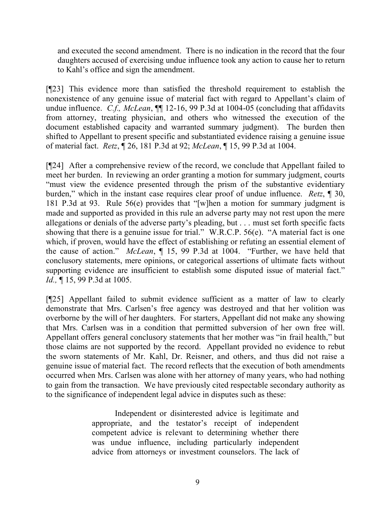and executed the second amendment. There is no indication in the record that the four daughters accused of exercising undue influence took any action to cause her to return to Kahl's office and sign the amendment.

[¶23] This evidence more than satisfied the threshold requirement to establish the nonexistence of any genuine issue of material fact with regard to Appellant's claim of undue influence. *C.f., McLean*, ¶¶ 12-16, 99 P.3d at 1004-05 (concluding that affidavits from attorney, treating physician, and others who witnessed the execution of the document established capacity and warranted summary judgment). The burden then shifted to Appellant to present specific and substantiated evidence raising a genuine issue of material fact. *Retz*, ¶ 26, 181 P.3d at 92; *McLean*, ¶ 15, 99 P.3d at 1004.

[¶24] After a comprehensive review of the record, we conclude that Appellant failed to meet her burden. In reviewing an order granting a motion for summary judgment, courts "must view the evidence presented through the prism of the substantive evidentiary burden," which in the instant case requires clear proof of undue influence. *Retz*, ¶ 30, 181 P.3d at 93. Rule 56(e) provides that "[w]hen a motion for summary judgment is made and supported as provided in this rule an adverse party may not rest upon the mere allegations or denials of the adverse party's pleading, but . . . must set forth specific facts showing that there is a genuine issue for trial." W.R.C.P. 56(e). "A material fact is one which, if proven, would have the effect of establishing or refuting an essential element of the cause of action." *McLean*, ¶ 15, 99 P.3d at 1004. "Further, we have held that conclusory statements, mere opinions, or categorical assertions of ultimate facts without supporting evidence are insufficient to establish some disputed issue of material fact." *Id.*, ¶ 15, 99 P.3d at 1005.

[¶25] Appellant failed to submit evidence sufficient as a matter of law to clearly demonstrate that Mrs. Carlsen's free agency was destroyed and that her volition was overborne by the will of her daughters. For starters, Appellant did not make any showing that Mrs. Carlsen was in a condition that permitted subversion of her own free will. Appellant offers general conclusory statements that her mother was "in frail health," but those claims are not supported by the record. Appellant provided no evidence to rebut the sworn statements of Mr. Kahl, Dr. Reisner, and others, and thus did not raise a genuine issue of material fact. The record reflects that the execution of both amendments occurred when Mrs. Carlsen was alone with her attorney of many years, who had nothing to gain from the transaction. We have previously cited respectable secondary authority as to the significance of independent legal advice in disputes such as these:

> Independent or disinterested advice is legitimate and appropriate, and the testator's receipt of independent competent advice is relevant to determining whether there was undue influence, including particularly independent advice from attorneys or investment counselors. The lack of